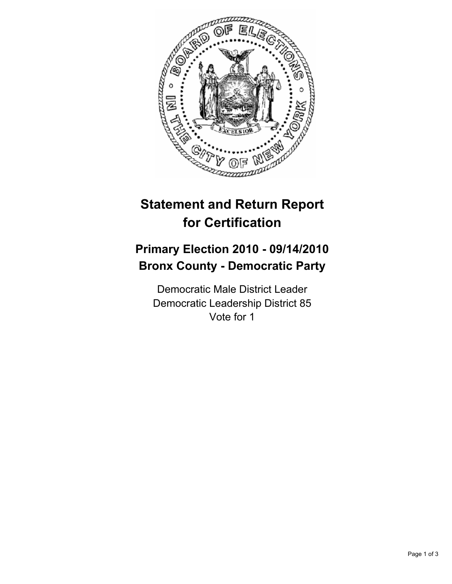

## **Statement and Return Report for Certification**

## **Primary Election 2010 - 09/14/2010 Bronx County - Democratic Party**

Democratic Male District Leader Democratic Leadership District 85 Vote for 1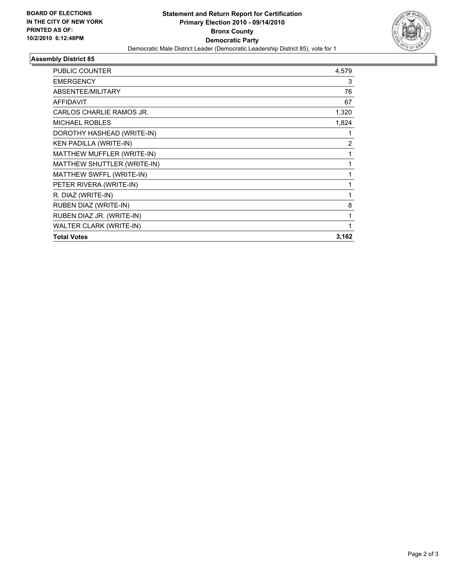

## **Assembly District 85**

| <b>PUBLIC COUNTER</b>          | 4,579          |
|--------------------------------|----------------|
| <b>EMERGENCY</b>               | 3              |
| ABSENTEE/MILITARY              | 76             |
| AFFIDAVIT                      | 67             |
| CARLOS CHARLIE RAMOS JR.       | 1,320          |
| <b>MICHAEL ROBLES</b>          | 1,824          |
| DOROTHY HASHEAD (WRITE-IN)     | 1              |
| KEN PADILLA (WRITE-IN)         | $\overline{2}$ |
| MATTHEW MUFFLER (WRITE-IN)     | 1              |
| MATTHEW SHUTTLER (WRITE-IN)    | 1              |
| MATTHEW SWFFL (WRITE-IN)       | 1              |
| PETER RIVERA (WRITE-IN)        | 1              |
| R. DIAZ (WRITE-IN)             | 1              |
| RUBEN DIAZ (WRITE-IN)          | 8              |
| RUBEN DIAZ JR. (WRITE-IN)      | 1              |
| <b>WALTER CLARK (WRITE-IN)</b> | 1              |
| <b>Total Votes</b>             | 3,162          |